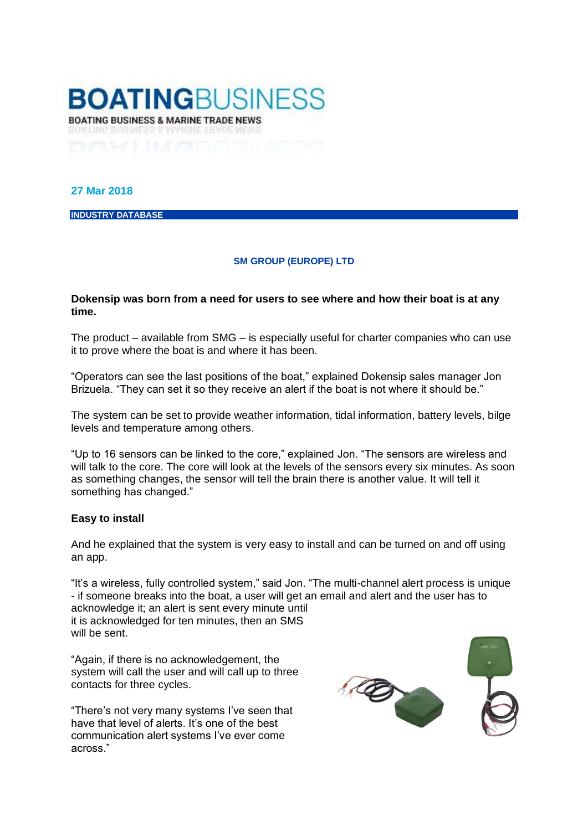

## **27 Mar 2018**

**INDUSTRY DATABASE**

## **[SM GROUP \(EUROPE\) LTD](http://www.boatingbusiness.com/directory-entries/sm_group_europe_ltd)**

## **Dokensip was born from a need for users to see where and how their boat is at any time.**

The product – available from SMG – is especially useful for charter companies who can use it to prove where the boat is and where it has been.

"Operators can see the last positions of the boat," explained Dokensip sales manager Jon Brizuela. "They can set it so they receive an alert if the boat is not where it should be."

The system can be set to provide weather information, tidal information, battery levels, bilge levels and temperature among others.

"Up to 16 sensors can be linked to the core," explained Jon. "The sensors are wireless and will talk to the core. The core will look at the levels of the sensors every six minutes. As soon as something changes, the sensor will tell the brain there is another value. It will tell it something has changed."

## **Easy to install**

And he explained that the system is very easy to install and can be turned on and off using an app.

"It's a wireless, fully controlled system," said Jon. "The multi-channel alert process is unique - if someone breaks into the boat, a user will get an email and alert and the user has to acknowledge it; an alert is sent every minute until it is acknowledged for ten minutes, then an SMS will be sent.

"Again, if there is no acknowledgement, the system will call the user and will call up to three contacts for three cycles.

"There's not very many systems I've seen that have that level of alerts. It's one of the best communication alert systems I've ever come across."